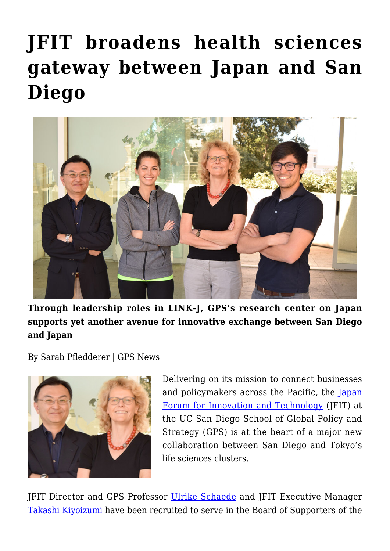## **[JFIT broadens health sciences](https://gpsnews.ucsd.edu/jfit-broadens-health-sciences-gateway-between-japan-and-san-diego/) [gateway between Japan and San](https://gpsnews.ucsd.edu/jfit-broadens-health-sciences-gateway-between-japan-and-san-diego/) [Diego](https://gpsnews.ucsd.edu/jfit-broadens-health-sciences-gateway-between-japan-and-san-diego/)**



**Through leadership roles in LINK-J, GPS's research center on Japan supports yet another avenue for innovative exchange between San Diego and Japan**

By Sarah Pfledderer | GPS News



Delivering on its mission to connect businesses and policymakers across the Pacific, the [Japan](http://jfit.ucsd.edu/) [Forum for Innovation and Technology](http://jfit.ucsd.edu/) (JFIT) at the UC San Diego School of Global Policy and Strategy (GPS) is at the heart of a major new collaboration between San Diego and Tokyo's life sciences clusters.

JFIT Director and GPS Professor [Ulrike Schaede](https://gps.ucsd.edu/faculty-directory/ulrike-schaede.html) and JFIT Executive Manager [Takashi Kiyoizumi](http://jfit.ucsd.edu/about/faculty-and-scholars/takashi-kiyoizumi.html) have been recruited to serve in the Board of Supporters of the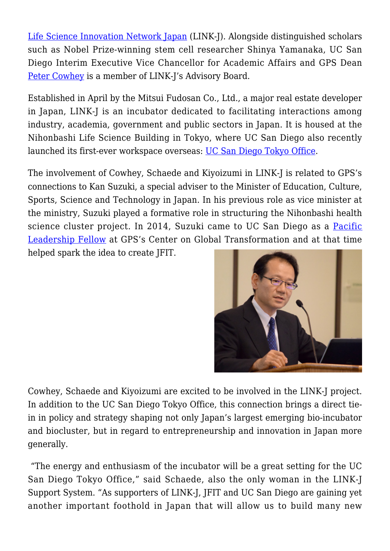[Life Science Innovation Network Japan](http://www.link-j.org/en/) (LINK-J). Alongside distinguished scholars such as Nobel Prize-winning stem cell researcher Shinya Yamanaka, UC San Diego Interim Executive Vice Chancellor for Academic Affairs and GPS Dean [Peter Cowhey](https://gps.ucsd.edu/faculty-directory/peter-cowhey.html) is a member of LINK-J's Advisory Board.

Established in April by the Mitsui Fudosan Co., Ltd., a major real estate developer in Japan, LINK-J is an incubator dedicated to facilitating interactions among industry, academia, government and public sectors in Japan. It is housed at the Nihonbashi Life Science Building in Tokyo, where UC San Diego also recently launched its first-ever workspace overseas: [UC San Diego Tokyo Office.](http://ucsdnews.ucsd.edu/pressrelease/uc_san_diego_to_open_office_in_life_science_cluster_in_tokyo_to_promote_int)

The involvement of Cowhey, Schaede and Kiyoizumi in LINK-J is related to GPS's connections to Kan Suzuki, a special adviser to the Minister of Education, Culture, Sports, Science and Technology in Japan. In his previous role as vice minister at the ministry, Suzuki played a formative role in structuring the Nihonbashi health science cluster project. In 2014, Suzuki came to UC San Diego as a [Pacific](http://cgt.ucsd.edu/fellows/past/suzuki.html) [Leadership Fellow](http://cgt.ucsd.edu/fellows/past/suzuki.html) at GPS's Center on Global Transformation and at that time helped spark the idea to create JFIT.



Cowhey, Schaede and Kiyoizumi are excited to be involved in the LINK-J project. In addition to the UC San Diego Tokyo Office, this connection brings a direct tiein in policy and strategy shaping not only Japan's largest emerging bio-incubator and biocluster, but in regard to entrepreneurship and innovation in Japan more generally.

 "The energy and enthusiasm of the incubator will be a great setting for the UC San Diego Tokyo Office," said Schaede, also the only woman in the LINK-J Support System. "As supporters of LINK-J, JFIT and UC San Diego are gaining yet another important foothold in Japan that will allow us to build many new